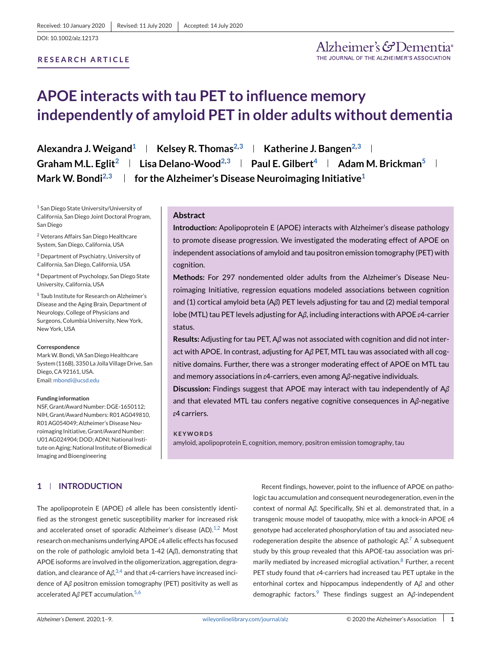#### **RESEARCH ARTICLE**

# **APOE interacts with tau PET to influence memory independently of amyloid PET in older adults without dementia**

**Alexandra J. Weigand**<sup>1</sup> **Kelsey R. Thomas**<sup>2,3</sup> **Katherine J. Bangen**<sup>2,3</sup> **K Graham M.L. Eglit<sup>2</sup> | Lisa Delano-Wood<sup>2,3</sup> | Paul E. Gilbert<sup>4</sup> | Adam M. Brickman<sup>5</sup> | Mark W. Bondi2,3 for the Alzheimer's Disease Neuroimaging Initiative1**

<sup>1</sup> San Diego State University/University of California, San Diego Joint Doctoral Program, San Diego

<sup>2</sup> Veterans Affairs San Diego Healthcare System, San Diego, California, USA

<sup>3</sup> Department of Psychiatry, University of California, San Diego, California, USA

<sup>4</sup> Department of Psychology, San Diego State University, California, USA

<sup>5</sup> Taub Institute for Research on Alzheimer's Disease and the Aging Brain, Department of Neurology, College of Physicians and Surgeons, Columbia University, New York, New York, USA

#### **Correspondence**

MarkW. Bondi, VA San Diego Healthcare System (116B), 3350 La Jolla Village Drive, San Diego, CA 92161, USA. Email: [mbondi@ucsd.edu](mailto:mbondi@ucsd.edu)

#### **Funding information**

NSF, Grant/Award Number: DGE-1650112; NIH, Grant/Award Numbers: R01 AG049810, R01 AG054049; Alzheimer's Disease Neuroimaging Initiative, Grant/Award Number: U01 AG024904; DOD; ADNI; National Institute on Aging; National Institute of Biomedical Imaging and Bioengineering

## **Abstract**

**Introduction:** Apolipoprotein E (APOE) interacts with Alzheimer's disease pathology to promote disease progression. We investigated the moderating effect of APOE on independent associations of amyloid and tau positron emission tomography (PET) with cognition.

**Methods:** For 297 nondemented older adults from the Alzheimer's Disease Neuroimaging Initiative, regression equations modeled associations between cognition and (1) cortical amyloid beta (A*β*) PET levels adjusting for tau and (2) medial temporal lobe (MTL) tau PET levels adjusting for A*β*, including interactions with APOE *ε*4-carrier status.

**Results:** Adjusting for tau PET, A*β* was not associated with cognition and did not interact with APOE. In contrast, adjusting for A*β* PET, MTL tau was associated with all cognitive domains. Further, there was a stronger moderating effect of APOE on MTL tau and memory associations in *ε*4-carriers, even among A*β*-negative individuals.

**Discussion:** Findings suggest that APOE may interact with tau independently of A*β* and that elevated MTL tau confers negative cognitive consequences in A*β*-negative *ε*4 carriers.

#### **KEYWORDS**

amyloid, apolipoprotein E, cognition, memory, positron emission tomography, tau

# **1 INTRODUCTION**

The apolipoprotein E (APOE) *ε*4 allele has been consistently identified as the strongest genetic susceptibility marker for increased risk and accelerated onset of sporadic Alzheimer's disease  $(AD).<sup>1,2</sup>$  $(AD).<sup>1,2</sup>$  $(AD).<sup>1,2</sup>$  Most research on mechanisms underlying APOE *ε*4 allelic effects has focused on the role of pathologic amyloid beta 1-42 (A*β*), demonstrating that APOE isoforms are involved in the oligomerization, aggregation, degradation, and clearance of A*β*, [3,4](#page-7-0) and that *ε*4-carriers have increased incidence of A*β* positron emission tomography (PET) positivity as well as accelerated Aβ PET accumulation.<sup>[5,6](#page-7-0)</sup>

Recent findings, however, point to the influence of APOE on pathologic tau accumulation and consequent neurodegeneration, even in the context of normal A*β*. Specifically, Shi et al. demonstrated that, in a transgenic mouse model of tauopathy, mice with a knock-in APOE *ε*4 genotype had accelerated phosphorylation of tau and associated neurodegeneration despite the absence of pathologic A*β*. [7](#page-7-0) A subsequent study by this group revealed that this APOE-tau association was pri-marily mediated by increased microglial activation.<sup>[8](#page-7-0)</sup> Further, a recent PET study found that *ε*4-carriers had increased tau PET uptake in the entorhinal cortex and hippocampus independently of A*β* and other demographic factors.<sup>9</sup> These findings suggest an Aβ-independent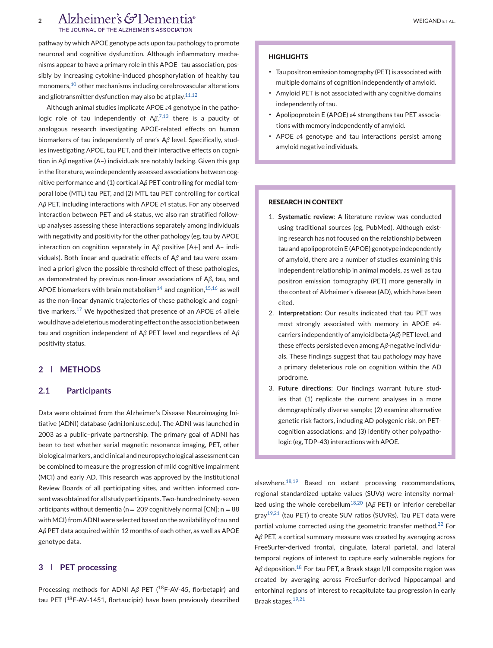INAL OF THE ALZHEIMER'S ASSOCIATION

pathway by which APOE genotype acts upon tau pathology to promote neuronal and cognitive dysfunction. Although inflammatory mechanisms appear to have a primary role in this APOE–tau association, possibly by increasing cytokine-induced phosphorylation of healthy tau monomers,[10](#page-7-0) other mechanisms including cerebrovascular alterations and gliotransmitter dysfunction may also be at play.  $11,12$ 

Although animal studies implicate APOE *ε*4 genotype in the patho-logic role of tau independently of Aβ,<sup>[7,13](#page-7-0)</sup> there is a paucity of analogous research investigating APOE-related effects on human biomarkers of tau independently of one's A*β* level. Specifically, studies investigating APOE, tau PET, and their interactive effects on cognition in A*β* negative (A–) individuals are notably lacking. Given this gap in the literature, we independently assessed associations between cognitive performance and (1) cortical A*β* PET controlling for medial temporal lobe (MTL) tau PET, and (2) MTL tau PET controlling for cortical A*β* PET, including interactions with APOE *ε*4 status. For any observed interaction between PET and *ε*4 status, we also ran stratified followup analyses assessing these interactions separately among individuals with negativity and positivity for the other pathology (eg, tau by APOE interaction on cognition separately in A*β* positive [A+] and A– individuals). Both linear and quadratic effects of A*β* and tau were examined a priori given the possible threshold effect of these pathologies, as demonstrated by previous non-linear associations of A*β*, tau, and APOE biomarkers with brain metabolism<sup>[14](#page-7-0)</sup> and cognition,  $15,16$  as well as the non-linear dynamic trajectories of these pathologic and cognitive markers.[17](#page-7-0) We hypothesized that presence of an APOE *ε*4 allele would have a deleterious moderating effect on the association between tau and cognition independent of A*β* PET level and regardless of A*β* positivity status.

# **2 METHODS**

#### **2.1 Participants**

Data were obtained from the Alzheimer's Disease Neuroimaging Initiative (ADNI) database (adni.loni.usc.edu). The ADNI was launched in 2003 as a public–private partnership. The primary goal of ADNI has been to test whether serial magnetic resonance imaging, PET, other biological markers, and clinical and neuropsychological assessment can be combined to measure the progression of mild cognitive impairment (MCI) and early AD. This research was approved by the Institutional Review Boards of all participating sites, and written informed consent was obtained for all study participants. Two-hundred ninety-seven articipants without dementia ( $n = 209$  cognitively normal [CN];  $n = 88$ with MCI) from ADNI were selected based on the availability of tau and A*β* PET data acquired within 12 months of each other, as well as APOE genotype data.

### **3 PET processing**

Processing methods for ADNI Aβ PET (<sup>18</sup>F-AV-45, florbetapir) and tau PET ( $^{18}$ F-AV-1451, flortaucipir) have been previously described

#### **HIGHLIGHTS**

- ∙ Tau positron emission tomography (PET) is associated with multiple domains of cognition independently of amyloid.
- ∙ Amyloid PET is not associated with any cognitive domains independently of tau.
- ∙ Apolipoprotein E (APOE) *ε*4 strengthens tau PET associations with memory independently of amyloid.
- ∙ APOE *ε*4 genotype and tau interactions persist among amyloid negative individuals.

#### **RESEARCH IN CONTEXT**

- 1. **Systematic review**: A literature review was conducted using traditional sources (eg, PubMed). Although existing research has not focused on the relationship between tau and apolipoprotein E (APOE) genotype independently of amyloid, there are a number of studies examining this independent relationship in animal models, as well as tau positron emission tomography (PET) more generally in the context of Alzheimer's disease (AD), which have been cited.
- 2. **Interpretation**: Our results indicated that tau PET was most strongly associated with memory in APOE *ε*4 carriers independently of amyloid beta (A*β*) PET level, and these effects persisted even among A*β*-negative individuals. These findings suggest that tau pathology may have a primary deleterious role on cognition within the AD prodrome.
- 3. **Future directions**: Our findings warrant future studies that (1) replicate the current analyses in a more demographically diverse sample; (2) examine alternative genetic risk factors, including AD polygenic risk, on PETcognition associations; and (3) identify other polypathologic (eg, TDP-43) interactions with APOE.

elsewhere.[18,19](#page-7-0) Based on extant processing recommendations, regional standardized uptake values (SUVs) were intensity normal-ized using the whole cerebellum<sup>[18,20](#page-7-0)</sup> (Aβ PET) or inferior cerebellar gray<sup>19,21</sup> (tau PET) to create SUV ratios (SUVRs). Tau PET data were partial volume corrected using the geometric transfer method. $^{22}$  $^{22}$  $^{22}$  For A*β* PET, a cortical summary measure was created by averaging across FreeSurfer-derived frontal, cingulate, lateral parietal, and lateral temporal regions of interest to capture early vulnerable regions for Aβ deposition.<sup>[18](#page-7-0)</sup> For tau PET, a Braak stage I/II composite region was created by averaging across FreeSurfer-derived hippocampal and entorhinal regions of interest to recapitulate tau progression in early Braak stages.[19,21](#page-7-0)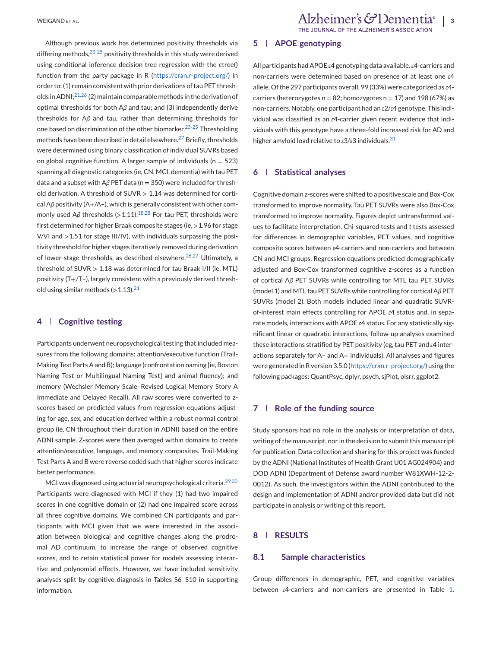Although previous work has determined positivity thresholds via differing methods,  $23-25$  positivity thresholds in this study were derived using conditional inference decision tree regression with the ctree() function from the party package in R [\(https://cran.r-project.org/\)](https://cran.r-project.org/) in order to: (1) remain consistent with prior derivations of tau PET thresholds in ADNI; $^{21,26}$  (2) maintain comparable methods in the derivation of optimal thresholds for both A*β* and tau; and (3) independently derive thresholds for A*β* and tau, rather than determining thresholds for one based on discrimination of the other biomarker.[23-25](#page-7-0) Thresholding methods have been described in detail elsewhere.[27](#page-7-0) Briefly, thresholds were determined using binary classification of individual SUVRs based on global cognitive function. A larger sample of individuals ( $n = 523$ ) spanning all diagnostic categories (ie, CN, MCI, dementia) with tau PET data and a subset with Aβ PET data (n = 350) were included for threshold derivation. A threshold of SUVR > 1.14 was determined for cortical A*β* positivity (A+/A–), which is generally consistent with other com-monly used Aβ thresholds (>1.11).<sup>[18,28](#page-7-0)</sup> For tau PET, thresholds were first determined for higher Braak composite stages (ie, >1.96 for stage V/VI and >1.51 for stage III/IV), with individuals surpassing the positivity threshold for higher stages iteratively removed during derivation of lower-stage thresholds, as described elsewhere.<sup>[26,27](#page-7-0)</sup> Ultimately, a threshold of SUVR > 1.18 was determined for tau Braak I/II (ie, MTL) positivity (T+/T–), largely consistent with a previously derived threshold using similar methods  $(>1.13).^{21}$  $(>1.13).^{21}$  $(>1.13).^{21}$ 

#### **4 Cognitive testing**

Participants underwent neuropsychological testing that included measures from the following domains: attention/executive function (Trail-Making Test Parts A and B); language (confrontation naming [ie, Boston Naming Test or Multilingual Naming Test] and animal fluency); and memory (Wechsler Memory Scale–Revised Logical Memory Story A Immediate and Delayed Recall). All raw scores were converted to zscores based on predicted values from regression equations adjusting for age, sex, and education derived within a robust normal control group (ie, CN throughout their duration in ADNI) based on the entire ADNI sample. Z-scores were then averaged within domains to create attention/executive, language, and memory composites. Trail-Making Test Parts A and B were reverse coded such that higher scores indicate better performance.

MCI was diagnosed using actuarial neuropsychological criteria.<sup>[29,30](#page-8-0)</sup> Participants were diagnosed with MCI if they (1) had two impaired scores in one cognitive domain or (2) had one impaired score across all three cognitive domains. We combined CN participants and participants with MCI given that we were interested in the association between biological and cognitive changes along the prodromal AD continuum, to increase the range of observed cognitive scores, and to retain statistical power for models assessing interactive and polynomial effects. However, we have included sensitivity analyses split by cognitive diagnosis in Tables S6–S10 in supporting information.

## **5 APOE genotyping**

All participants had APOE *ε*4 genotyping data available.*ε*4-carriers and non-carriers were determined based on presence of at least one *ε*4 allele. Of the 297 participants overall, 99 (33%) were categorized as *ε*4 carriers (heterozygotes  $n = 82$ ; homozygotes  $n = 17$ ) and 198 (67%) as non-carriers. Notably, one participant had an *ε*2/*ε*4 genotype. This individual was classified as an *ε*4-carrier given recent evidence that individuals with this genotype have a three-fold increased risk for AD and higher amyloid load relative to *ε*3/*ε*3 individuals.[31](#page-8-0)

#### **6 Statistical analyses**

Cognitive domain z-scores were shifted to a positive scale and Box-Cox transformed to improve normality. Tau PET SUVRs were also Box-Cox transformed to improve normality. Figures depict untransformed values to facilitate interpretation. Chi-squared tests and *t* tests assessed for differences in demographic variables, PET values, and cognitive composite scores between *ε*4-carriers and non-carriers and between CN and MCI groups. Regression equations predicted demographically adjusted and Box-Cox transformed cognitive z-scores as a function of cortical A*β* PET SUVRs while controlling for MTL tau PET SUVRs (model 1) and MTL tau PET SUVRs while controlling for cortical A*β* PET SUVRs (model 2). Both models included linear and quadratic SUVRof-interest main effects controlling for APOE *ε*4 status and, in separate models, interactions with APOE *ε*4 status. For any statistically significant linear or quadratic interactions, follow-up analyses examined these interactions stratified by PET positivity (eg, tau PET and *ε*4 interactions separately for A– and A+ individuals). All analyses and figures were generated in R version 3.5.0 [\(https://cran.r-project.org/\)](https://cran.r-project.org/) using the following packages: QuantPsyc, dplyr, psych, sjPlot, olsrr, ggplot2.

### **7 Role of the funding source**

Study sponsors had no role in the analysis or interpretation of data, writing of the manuscript, nor in the decision to submit this manuscript for publication. Data collection and sharing for this project was funded by the ADNI (National Institutes of Health Grant U01 AG024904) and DOD ADNI (Department of Defense award number W81XWH-12-2- 0012). As such, the investigators within the ADNI contributed to the design and implementation of ADNI and/or provided data but did not participate in analysis or writing of this report.

# **8 RESULTS**

### **8.1 Sample characteristics**

Group differences in demographic, PET, and cognitive variables between *ε*4-carriers and non-carriers are presented in Table [1.](#page-3-0)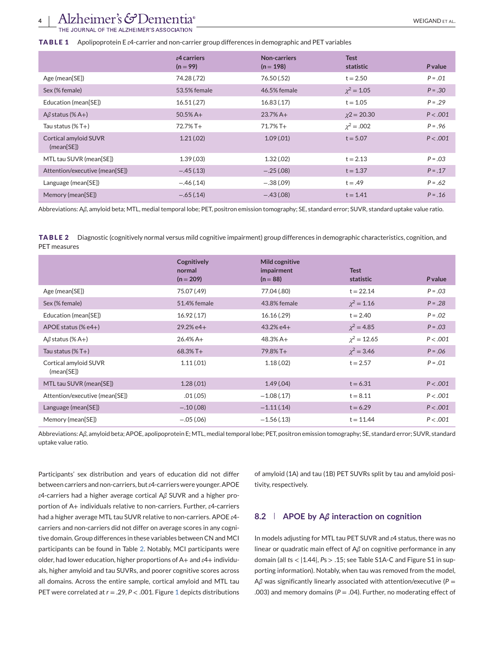# <span id="page-3-0"></span>Alzheimer's G<sup>D</sup>ementia<sup>®</sup>

RNAL OF THE ALZHEIMER'S ASSOCIATION

#### **TABLE 1** Apolipoprotein E *ε*4-carrier and non-carrier group differences in demographic and PET variables

|                                     | $\epsilon$ 4 carriers<br>$(n = 99)$ | Non-carriers<br>$(n = 198)$ | <b>Test</b><br>statistic | <b>P</b> value |
|-------------------------------------|-------------------------------------|-----------------------------|--------------------------|----------------|
| Age (mean[SE])                      | 74.28 (.72)                         | 76.50 (.52)                 | $t = 2.50$               | $P = .01$      |
| Sex (% female)                      | 53.5% female                        | 46.5% female                | $\chi^2 = 1.05$          | $P = .30$      |
| Education (mean[SE])                | 16.51(.27)                          | 16.83(.17)                  | $t = 1.05$               | $P = .29$      |
| $A\beta$ status (% A+)              | $50.5%$ A+                          | $23.7\%$ A+                 | $\chi$ 2 = 20.30         | P < .001       |
| Tau status $(\% T+)$                | $72.7\%$ T+                         | $71.7\%$ T+                 | $\chi^2 = .002$          | $P = .96$      |
| Cortical amyloid SUVR<br>(mean[SE]) | 1.21(.02)                           | 1.09(0.01)                  | $t = 5.07$               | P < .001       |
| MTL tau SUVR (mean[SE])             | 1.39(0.03)                          | 1.32(0.02)                  | $t = 2.13$               | $P = .03$      |
| Attention/executive (mean[SE])      | $-.45(.13)$                         | $-.25(.08)$                 | $t = 1.37$               | $P = 0.17$     |
| Language (mean[SE])                 | $-.46(.14)$                         | $-.38(.09)$                 | $t = .49$                | $P = .62$      |
| Memory (mean[SE])                   | $-.65(.14)$                         | $-.43(.08)$                 | $t = 1.41$               | $P = 0.16$     |

Abbreviations: A*β*, amyloid beta; MTL, medial temporal lobe; PET, positron emission tomography; SE, standard error; SUVR, standard uptake value ratio.

**TABLE 2** Diagnostic (cognitively normal versus mild cognitive impairment) group differences in demographic characteristics, cognition, and PET measures

|                                     | Cognitively<br>normal<br>$(n = 209)$ | Mild cognitive<br>impairment<br>$(n = 88)$ | <b>Test</b><br>statistic | <b>P</b> value |
|-------------------------------------|--------------------------------------|--------------------------------------------|--------------------------|----------------|
| Age (mean[SE])                      | 75.07 (.49)                          | 77.04 (.80)                                | $t = 22.14$              | $P = .03$      |
| Sex (% female)                      | 51.4% female                         | 43.8% female                               | $\chi^2 = 1.16$          | $P = .28$      |
| Education (mean[SE])                | 16.92(.17)                           | 16.16(.29)                                 | $t = 2.40$               | $P = .02$      |
| APOE status (% $e4+$ )              | $29.2% e4+$                          | $43.2% e4+$                                | $\chi^2 = 4.85$          | $P = .03$      |
| $A\beta$ status (% A+)              | $26.4% A +$                          | $48.3% A +$                                | $\chi^2 = 12.65$         | P < .001       |
| Tau status $(\% T+)$                | $68.3\%$ T+                          | 79.8% T+                                   | $\chi^2 = 3.46$          | $P = 0.06$     |
| Cortical amyloid SUVR<br>(mean[SE]) | 1.11(.01)                            | 1.18(0.02)                                 | $t = 2.57$               | $P = .01$      |
| MTL tau SUVR (mean[SE])             | 1.28(0.01)                           | 1.49(0.04)                                 | $t = 6.31$               | P < .001       |
| Attention/executive (mean[SE])      | .01(.05)                             | $-1.08(0.17)$                              | $t = 8.11$               | P < .001       |
| Language (mean[SE])                 | $-.10(.08)$                          | $-1.11(.14)$                               | $t = 6.29$               | P < .001       |
| Memory (mean[SE])                   | $-.05(.06)$                          | $-1.56(0.13)$                              | $t = 11.44$              | P < .001       |

Abbreviations: A*β*, amyloid beta; APOE, apolipoprotein E; MTL, medial temporal lobe; PET, positron emission tomography; SE, standard error; SUVR, standard uptake value ratio.

Participants' sex distribution and years of education did not differ between carriers and non-carriers, but*ε*4-carriers were younger. APOE *ε*4-carriers had a higher average cortical A*β* SUVR and a higher proportion of A+ individuals relative to non-carriers. Further, *ε*4-carriers had a higher average MTL tau SUVR relative to non-carriers. APOE *ε*4 carriers and non-carriers did not differ on average scores in any cognitive domain. Group differences in these variables between CN and MCI participants can be found in Table 2. Notably, MCI participants were older, had lower education, higher proportions of A+ and *ε*4+ individuals, higher amyloid and tau SUVRs, and poorer cognitive scores across all domains. Across the entire sample, cortical amyloid and MTL tau PET were correlated at *r* = .29, *P* < .001. Figure [1](#page-4-0) depicts distributions

of amyloid (1A) and tau (1B) PET SUVRs split by tau and amyloid positivity, respectively.

# **8.2 APOE by A***β* **interaction on cognition**

In models adjusting for MTL tau PET SUVR and *ε*4 status, there was no linear or quadratic main effect of A*β* on cognitive performance in any domain (all *ts <*  $|1.44|$ , *Ps > .15*; see Table S1A-C and Figure S1 in supporting information). Notably, when tau was removed from the model, A*β* was significantly linearly associated with attention/executive (*P* = .003) and memory domains (*P* = .04). Further, no moderating effect of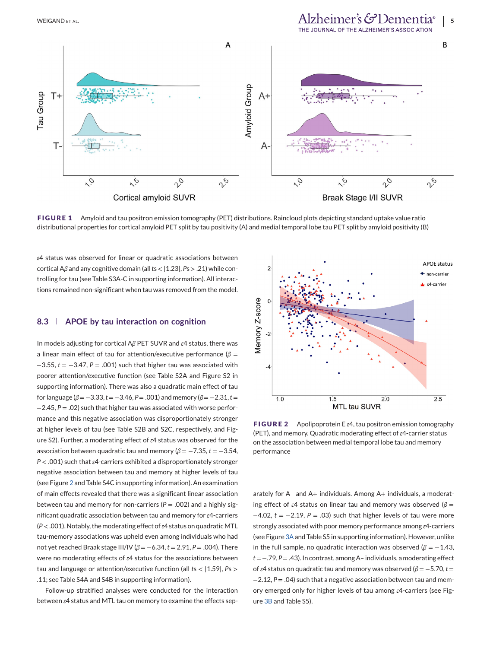<span id="page-4-0"></span>

**FIGURE 1** Amyloid and tau positron emission tomography (PET) distributions. Raincloud plots depicting standard uptake value ratio distributional properties for cortical amyloid PET split by tau positivity (A) and medial temporal lobe tau PET split by amyloid positivity (B)

*ε*4 status was observed for linear or quadratic associations between cortical A*β* and any cognitive domain (all*t*s < |1.23|, *P*s > .21) while controlling for tau (see Table S3A-C in supporting information). All interactions remained non-significant when tau was removed from the model.

#### **8.3 APOE by tau interaction on cognition**

In models adjusting for cortical A*β* PET SUVR and *ε*4 status, there was a linear main effect of tau for attention/executive performance (*β* = −3.55, *t* = −3.47, *P* = .001) such that higher tau was associated with poorer attention/executive function (see Table S2A and Figure S2 in supporting information). There was also a quadratic main effect of tau for language ( $\beta = -3.33$ ,  $t = -3.46$ ,  $P = .001$ ) and memory ( $\beta = -2.31$ ,  $t =$ −2.45, *P* = .02) such that higher tau was associated with worse performance and this negative association was disproportionately stronger at higher levels of tau (see Table S2B and S2C, respectively, and Figure S2). Further, a moderating effect of *ε*4 status was observed for the association between quadratic tau and memory  $(\beta = -7.35, t = -3.54,$ *P* < .001) such that *ε*4-carriers exhibited a disproportionately stronger negative association between tau and memory at higher levels of tau (see Figure 2 and Table S4C in supporting information). An examination of main effects revealed that there was a significant linear association between tau and memory for non-carriers  $(P = .002)$  and a highly significant quadratic association between tau and memory for *ε*4-carriers (*P* < .001). Notably, the moderating effect of*ε*4 status on quadratic MTL tau-memory associations was upheld even among individuals who had not yet reached Braak stage III/IV (*β* = −6.34, *t* = 2.91, *P* = .004). There were no moderating effects of *ε*4 status for the associations between tau and language or attention/executive function (all *t*s < |1.59|, *P*s > .11; see Table S4A and S4B in supporting information).

Follow-up stratified analyses were conducted for the interaction between *ε*4 status and MTL tau on memory to examine the effects sep-



**FIGURE 2** Apolipoprotein E *ε*4, tau positron emission tomography (PET), and memory. Quadratic moderating effect of *ε*4-carrier status on the association between medial temporal lobe tau and memory performance

arately for A– and A+ individuals. Among A+ individuals, a moderating effect of *ε*4 status on linear tau and memory was observed (*β* = −4.02, *t* = −2.19, *P* = .03) such that higher levels of tau were more strongly associated with poor memory performance among *ε*4-carriers (see Figure [3A](#page-5-0)and Table S5 in supporting information). However, unlike in the full sample, no quadratic interaction was observed ( $\beta = -1.43$ , *t* = −.79, *P* = .43). In contrast, among A– individuals, a moderating effect of *ε*4 status on quadratic tau and memory was observed (*β* = −5.70, *t* = −2.12, *P* = .04) such that a negative association between tau and memory emerged only for higher levels of tau among *ε*4-carriers (see Figure [3B](#page-5-0) and Table S5).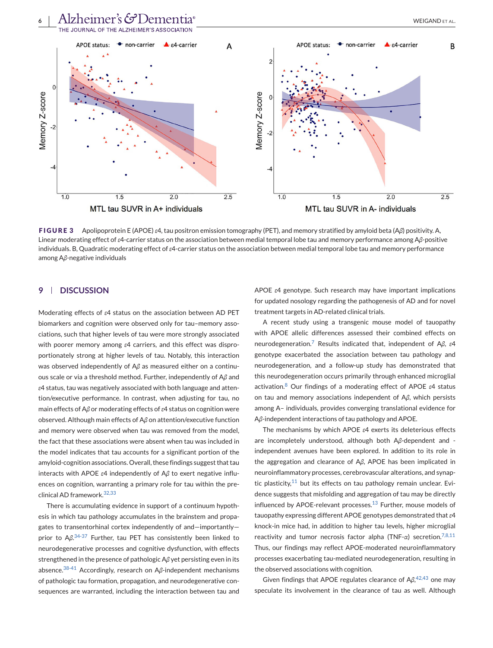<span id="page-5-0"></span>



**FIGURE 3** Apolipoprotein E (APOE) *ε*4, tau positron emission tomography (PET), and memory stratified by amyloid beta (A*β*) positivity. A, Linear moderating effect of *ε*4-carrier status on the association between medial temporal lobe tau and memory performance among A*β*-positive individuals. B, Quadratic moderating effect of *ε*4-carrier status on the association between medial temporal lobe tau and memory performance among A*β*-negative individuals

# **9 DISCUSSION**

Moderating effects of *ε*4 status on the association between AD PET biomarkers and cognition were observed only for tau–memory associations, such that higher levels of tau were more strongly associated with poorer memory among *ε*4 carriers, and this effect was disproportionately strong at higher levels of tau. Notably, this interaction was observed independently of A*β* as measured either on a continuous scale or via a threshold method. Further, independently of A*β* and *ε*4 status, tau was negatively associated with both language and attention/executive performance. In contrast, when adjusting for tau, no main effects of A*β* or moderating effects of *ε*4 status on cognition were observed. Although main effects of A*β* on attention/executive function and memory were observed when tau was removed from the model, the fact that these associations were absent when tau was included in the model indicates that tau accounts for a significant portion of the amyloid-cognition associations. Overall, these findings suggest that tau interacts with APOE *ε*4 independently of A*β* to exert negative influences on cognition, warranting a primary role for tau within the preclinical AD framework.[32,33](#page-8-0)

There is accumulating evidence in support of a continuum hypothesis in which tau pathology accumulates in the brainstem and propagates to transentorhinal cortex independently of and—importantly prior to A*β*. [34-37](#page-8-0) Further, tau PET has consistently been linked to neurodegenerative processes and cognitive dysfunction, with effects strengthened in the presence of pathologic A*β* yet persisting even in its absence.[38-41](#page-8-0) Accordingly, research on A*β*-independent mechanisms of pathologic tau formation, propagation, and neurodegenerative consequences are warranted, including the interaction between tau and APOE *ε*4 genotype. Such research may have important implications for updated nosology regarding the pathogenesis of AD and for novel treatment targets in AD-related clinical trials.

A recent study using a transgenic mouse model of tauopathy with APOE allelic differences assessed their combined effects on neurodegeneration.[7](#page-7-0) Results indicated that, independent of A*β*, *ε*4 genotype exacerbated the association between tau pathology and neurodegeneration, and a follow-up study has demonstrated that this neurodegeneration occurs primarily through enhanced microglial activation.[8](#page-7-0) Our findings of a moderating effect of APOE *ε*4 status on tau and memory associations independent of A*β*, which persists among A– individuals, provides converging translational evidence for A*β*-independent interactions of tau pathology and APOE.

The mechanisms by which APOE *ε*4 exerts its deleterious effects are incompletely understood, although both A*β*-dependent and independent avenues have been explored. In addition to its role in the aggregation and clearance of A*β*, APOE has been implicated in neuroinflammatory processes, cerebrovascular alterations, and synaptic plasticity, $11$  but its effects on tau pathology remain unclear. Evidence suggests that misfolding and aggregation of tau may be directly influenced by APOE-relevant processes. $13$  Further, mouse models of tauopathy expressing different APOE genotypes demonstrated that *ε*4 knock-in mice had, in addition to higher tau levels, higher microglial reactivity and tumor necrosis factor alpha (TNF- $\alpha$ ) secretion.<sup>[7,8,11](#page-7-0)</sup> Thus, our findings may reflect APOE-moderated neuroinflammatory processes exacerbating tau-mediated neurodegeneration, resulting in the observed associations with cognition.

Given findings that APOE regulates clearance of A*β*, [42,43](#page-8-0) one may speculate its involvement in the clearance of tau as well. Although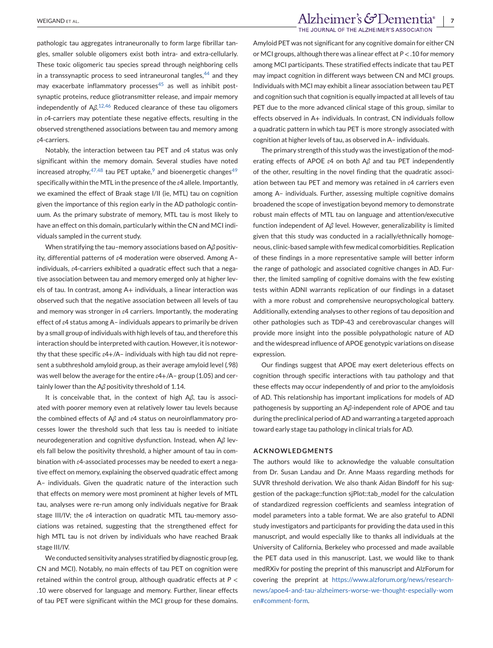WEIGAND ET AL. *Alzheimer's*  $G$ Dementia<sup>®</sup> | 7 THE JOURNAL OF THE ALZHEIMER'S ASSOCIATION

pathologic tau aggregates intraneuronally to form large fibrillar tangles, smaller soluble oligomers exist both intra- and extra-cellularly. These toxic oligomeric tau species spread through neighboring cells in a transsynaptic process to seed intraneuronal tangles,  $44$  and they may exacerbate inflammatory processes $45$  as well as inhibit postsynaptic proteins, reduce gliotransmitter release, and impair memory independently of A*β*. [12,46](#page-7-0) Reduced clearance of these tau oligomers in *ε*4-carriers may potentiate these negative effects, resulting in the observed strengthened associations between tau and memory among *ε*4-carriers.

Notably, the interaction between tau PET and *ε*4 status was only significant within the memory domain. Several studies have noted increased atrophy,  $47,48$  tau PET uptake,  $9$  and bioenergetic changes  $49$ specifically within the MTL in the presence of the *ε*4 allele. Importantly, we examined the effect of Braak stage I/II (ie, MTL) tau on cognition given the importance of this region early in the AD pathologic continuum. As the primary substrate of memory, MTL tau is most likely to have an effect on this domain, particularly within the CN and MCI individuals sampled in the current study.

When stratifying the tau–memory associations based on A*β* positivity, differential patterns of *ε*4 moderation were observed. Among A– individuals, *ε*4-carriers exhibited a quadratic effect such that a negative association between tau and memory emerged only at higher levels of tau. In contrast, among A+ individuals, a linear interaction was observed such that the negative association between all levels of tau and memory was stronger in *ε*4 carriers. Importantly, the moderating effect of *ε*4 status among A– individuals appears to primarily be driven by a small group of individuals with high levels of tau, and therefore this interaction should be interpreted with caution. However, it is noteworthy that these specific *ε*4+/A– individuals with high tau did not represent a subthreshold amyloid group, as their average amyloid level (.98) was well below the average for the entire *ε*4+/A– group (1.05) and certainly lower than the A*β* positivity threshold of 1.14.

It is conceivable that, in the context of high A*β*, tau is associated with poorer memory even at relatively lower tau levels because the combined effects of A*β* and *ε*4 status on neuroinflammatory processes lower the threshold such that less tau is needed to initiate neurodegeneration and cognitive dysfunction. Instead, when A*β* levels fall below the positivity threshold, a higher amount of tau in combination with *ε*4-associated processes may be needed to exert a negative effect on memory, explaining the observed quadratic effect among A– individuals. Given the quadratic nature of the interaction such that effects on memory were most prominent at higher levels of MTL tau, analyses were re-run among only individuals negative for Braak stage III/IV; the *ε*4 interaction on quadratic MTL tau-memory associations was retained, suggesting that the strengthened effect for high MTL tau is not driven by individuals who have reached Braak stage III/IV.

We conducted sensitivity analyses stratified by diagnostic group (eg, CN and MCI). Notably, no main effects of tau PET on cognition were retained within the control group, although quadratic effects at *P* < .10 were observed for language and memory. Further, linear effects of tau PET were significant within the MCI group for these domains.

Amyloid PET was not significant for any cognitive domain for either CN or MCI groups, although there was a linear effect at *P* < .10 for memory among MCI participants. These stratified effects indicate that tau PET may impact cognition in different ways between CN and MCI groups. Individuals with MCI may exhibit a linear association between tau PET and cognition such that cognition is equally impacted at all levels of tau PET due to the more advanced clinical stage of this group, similar to effects observed in A+ individuals. In contrast, CN individuals follow a quadratic pattern in which tau PET is more strongly associated with cognition at higher levels of tau, as observed in A– individuals.

The primary strength of this study was the investigation of the moderating effects of APOE *ε*4 on both A*β* and tau PET independently of the other, resulting in the novel finding that the quadratic association between tau PET and memory was retained in *ε*4 carriers even among A– individuals. Further, assessing multiple cognitive domains broadened the scope of investigation beyond memory to demonstrate robust main effects of MTL tau on language and attention/executive function independent of A*β* level. However, generalizability is limited given that this study was conducted in a racially/ethnically homogeneous, clinic-based sample with few medical comorbidities. Replication of these findings in a more representative sample will better inform the range of pathologic and associated cognitive changes in AD. Further, the limited sampling of cognitive domains with the few existing tests within ADNI warrants replication of our findings in a dataset with a more robust and comprehensive neuropsychological battery. Additionally, extending analyses to other regions of tau deposition and other pathologies such as TDP-43 and cerebrovascular changes will provide more insight into the possible polypathologic nature of AD and the widespread influence of APOE genotypic variations on disease expression.

Our findings suggest that APOE may exert deleterious effects on cognition through specific interactions with tau pathology and that these effects may occur independently of and prior to the amyloidosis of AD. This relationship has important implications for models of AD pathogenesis by supporting an A*β*-independent role of APOE and tau during the preclinical period of AD and warranting a targeted approach toward early stage tau pathology in clinical trials for AD.

#### **ACKNOWLEDGMENTS**

The authors would like to acknowledge the valuable consultation from Dr. Susan Landau and Dr. Anne Maass regarding methods for SUVR threshold derivation. We also thank Aidan Bindoff for his suggestion of the package::function sjPlot::tab\_model for the calculation gestion of the package::function sjPlot::tab\_model for the calculation<br>of standardized regression coefficients and seamless integration of model parameters into a table format. We are also grateful to ADNI study investigators and participants for providing the data used in this manuscript, and would especially like to thanks all individuals at the University of California, Berkeley who processed and made available the PET data used in this manuscript. Last, we would like to thank medRXiv for posting the preprint of this manuscript and AlzForum for covering the preprint at [https://www.alzforum.org/news/research](https://www.alzforum.org/news/research-news/apoe4-and-tau-alzheimers-worse-we-thought-especially-women#comment-form)[news/apoe4-and-tau-alzheimers-worse-we-thought-especially-wom](https://www.alzforum.org/news/research-news/apoe4-and-tau-alzheimers-worse-we-thought-especially-women#comment-form) [en#comment-form.](https://www.alzforum.org/news/research-news/apoe4-and-tau-alzheimers-worse-we-thought-especially-women#comment-form)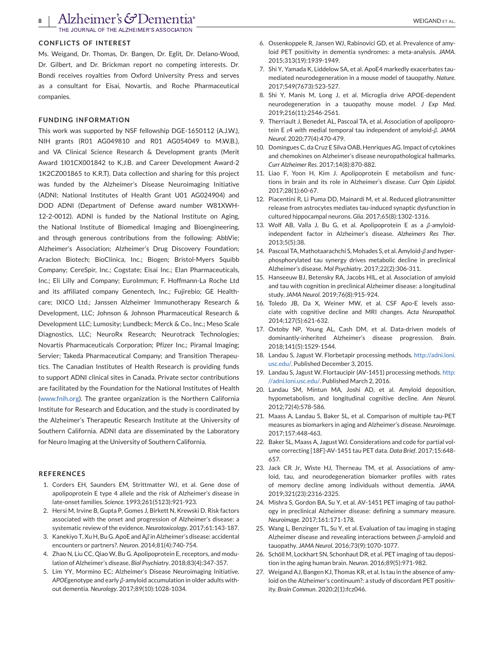<span id="page-7-0"></span>**Alzheimer's & Dementia**<sup>®</sup>

JOURNAL OF THE ALZHEIMER'S ASSOCIATION

#### **CONFLICTS OF INTEREST**

Ms. Weigand, Dr. Thomas, Dr. Bangen, Dr. Eglit, Dr. Delano-Wood, Dr. Gilbert, and Dr. Brickman report no competing interests. Dr. Bondi receives royalties from Oxford University Press and serves as a consultant for Eisai, Novartis, and Roche Pharmaceutical companies.

#### **FUNDING INFORMATION**

This work was supported by NSF fellowship DGE-1650112 (A.J.W.), NIH grants (R01 AG049810 and R01 AG054049 to M.W.B.), and VA Clinical Science Research & Development grants (Merit Award 1I01CX001842 to K.J.B. and Career Development Award-2 1K2CZ001865 to K.R.T). Data collection and sharing for this project was funded by the Alzheimer's Disease Neuroimaging Initiative (ADNI; National Institutes of Health Grant U01 AG024904) and DOD ADNI (Department of Defense award number W81XWH-12-2-0012). ADNI is funded by the National Institute on Aging, the National Institute of Biomedical Imaging and Bioengineering, and through generous contributions from the following: AbbVie; Alzheimer's Association; Alzheimer's Drug Discovery Foundation; Araclon Biotech; BioClinica, Inc.; Biogen; Bristol-Myers Squibb Company; CereSpir, Inc.; Cogstate; Eisai Inc.; Elan Pharmaceuticals, Inc.; Eli Lilly and Company; EuroImmun; F. Hoffmann-La Roche Ltd and its affiliated company Genentech, Inc.; Fujirebio; GE Healthcare; IXICO Ltd.; Janssen Alzheimer Immunotherapy Research & Development, LLC; Johnson & Johnson Pharmaceutical Research & Development LLC; Lumosity; Lundbeck; Merck & Co., Inc.; Meso Scale Diagnostics, LLC; NeuroRx Research; Neurotrack Technologies; Novartis Pharmaceuticals Corporation; Pfizer Inc.; Piramal Imaging; Servier; Takeda Pharmaceutical Company; and Transition Therapeutics. The Canadian Institutes of Health Research is providing funds to support ADNI clinical sites in Canada. Private sector contributions are facilitated by the Foundation for the National Institutes of Health [\(www.fnih.org\)](http://www.fnih.org). The grantee organization is the Northern California Institute for Research and Education, and the study is coordinated by the Alzheimer's Therapeutic Research Institute at the University of Southern California. ADNI data are disseminated by the Laboratory for Neuro Imaging at the University of Southern California.

#### **REFERENCES**

- 1. Corders EH, Saunders EM, Strittmatter WJ, et al. Gene dose of apolipoprotein E type 4 allele and the risk of Alzheimer's disease in late-onset families. *Science*. 1993;261(5123):921-923.
- 2. Hersi M, Irvine B, Gupta P, Gomes J, Birkett N, Krewski D. Risk factors associated with the onset and progression of Alzheimer's disease: a systematic review of the evidence. *Neurotoxicology*. 2017;61:143-187.
- 3. Kanekiyo T, Xu H, Bu G. ApoE and A*β* in Alzheimer's disease: accidental encounters or partners?. *Neuron*. 2014;81(4):740-754.
- 4. Zhao N, Liu CC, Qiao W, Bu G. Apolipoprotein E, receptors, and modulation of Alzheimer's disease. *Biol Psychiatry*. 2018;83(4):347-357.
- 5. Lim YY, Mormino EC; Alzheimer's Disease Neuroimaging Initiative. *APOE*genotype and early *β*-amyloid accumulation in older adults without dementia. *Neurology*. 2017;89(10):1028-1034.
- 6. Ossenkoppele R, Jansen WJ, Rabinovici GD, et al. Prevalence of amyloid PET positivity in dementia syndromes: a meta-analysis. *JAMA*. 2015;313(19):1939-1949.
- 7. Shi Y, Yamada K, Liddelow SA, et al. ApoE4 markedly exacerbates taumediated neurodegeneration in a mouse model of tauopathy. *Nature*. 2017;549(7673):523-527.
- 8. Shi Y, Manis M, Long J, et al. Microglia drive APOE-dependent neurodegeneration in a tauopathy mouse model. *J Exp Med*. 2019;216(11):2546-2561.
- 9. Therriault J, Benedet AL, Pascoal TA, et al. Association of apolipoprotein E *ε*4 with medial temporal tau independent of amyloid-*β*. *JAMA Neurol*. 2020;77(4):470-479.
- 10. Domingues C, da Cruz E Silva OAB, Henriques AG. Impact of cytokines and chemokines on Alzheimer's disease neuropathological hallmarks. *Curr Alzheimer Res*. 2017;14(8):870-882.
- 11. Liao F, Yoon H, Kim J. Apolipoprotein E metabolism and functions in brain and its role in Alzheimer's disease. *Curr Opin Lipidol*. 2017;28(1):60-67.
- 12. Piacentini R, Li Puma DD, Mainardi M, et al. Reduced gliotransmitter release from astrocytes mediates tau-induced synaptic dysfunction in cultured hippocampal neurons. *Glia*. 2017;65(8):1302-1316.
- 13. Wolf AB, Valla J, Bu G, et al. Apolipoprotein E as a *β*-amyloidindependent factor in Alzheimer's disease. *Alzheimers Res Ther*. 2013;5(5):38.
- 14. Pascoal TA, Mathotaarachchi S, Mohades S, et al. Amyloid-*β* and hyperphosphorylated tau synergy drives metabolic decline in preclinical Alzheimer's disease. *Mol Psychiatry*. 2017;22(2):306-311.
- 15. Hanseeuw BJ, Betensky RA, Jacobs HIL, et al. Association of amyloid and tau with cognition in preclinical Alzheimer disease: a longitudinal study. *JAMA Neurol*. 2019;76(8):915-924.
- 16. Toledo JB, Da X, Weiner MW, et al. CSF Apo-E levels associate with cognitive decline and MRI changes. *Acta Neuropathol*. 2014;127(5):621-632.
- 17. Oxtoby NP, Young AL, Cash DM, et al. Data-driven models of dominantly-inherited Alzheimer's disease progression. *Brain*. 2018;141(5):1529-1544.
- 18. Landau S, Jagust W. Florbetapir processing methods. [http://adni.loni.](http://adni.loni.usc.edu/) [usc.edu/.](http://adni.loni.usc.edu/) Published December 3, 2015.
- 19. Landau S, Jagust W. Flortaucipir (AV-1451) processing methods. [http:](http://adni.loni.usc.edu/) [//adni.loni.usc.edu/.](http://adni.loni.usc.edu/) Published March 2, 2016.
- 20. Landau SM, Mintun MA, Joshi AD, et al. Amyloid deposition, hypometabolism, and longitudinal cognitive decline. *Ann Neurol*. 2012;72(4):578-586.
- 21. Maass A, Landau S, Baker SL, et al. Comparison of multiple tau-PET measures as biomarkers in aging and Alzheimer's disease. *Neuroimage*. 2017;157:448-463.
- 22. Baker SL, Maass A, Jagust WJ. Considerations and code for partial volume correcting [18F]-AV-1451 tau PET data. *Data Brief*. 2017;15:648- 657.
- 23. Jack CR Jr, Wiste HJ, Therneau TM, et al. Associations of amyloid, tau, and neurodegeneration biomarker profiles with rates of memory decline among individuals without dementia. *JAMA*. 2019;321(23):2316-2325.
- 24. Mishra S, Gordon BA, Su Y, et al. AV-1451 PET imaging of tau pathology in preclinical Alzheimer disease: defining a summary measure. *Neuroimage*. 2017;161:171-178.
- 25. Wang L, Benzinger TL, Su Y, et al. Evaluation of tau imaging in staging Alzheimer disease and revealing interactions between *β*-amyloid and tauopathy. *JAMA Neurol*. 2016;73(9):1070-1077.
- 26. Schöll M, Lockhart SN, Schonhaut DR, et al. PET imaging of tau deposition in the aging human brain. *Neuron*. 2016;89(5):971-982.
- 27. Weigand AJ, Bangen KJ, Thomas KR, et al. Is tau in the absence of amyloid on the Alzheimer's continuum?: a study of discordant PET positivity. *Brain Commun*. 2020;2(1):fcz046.